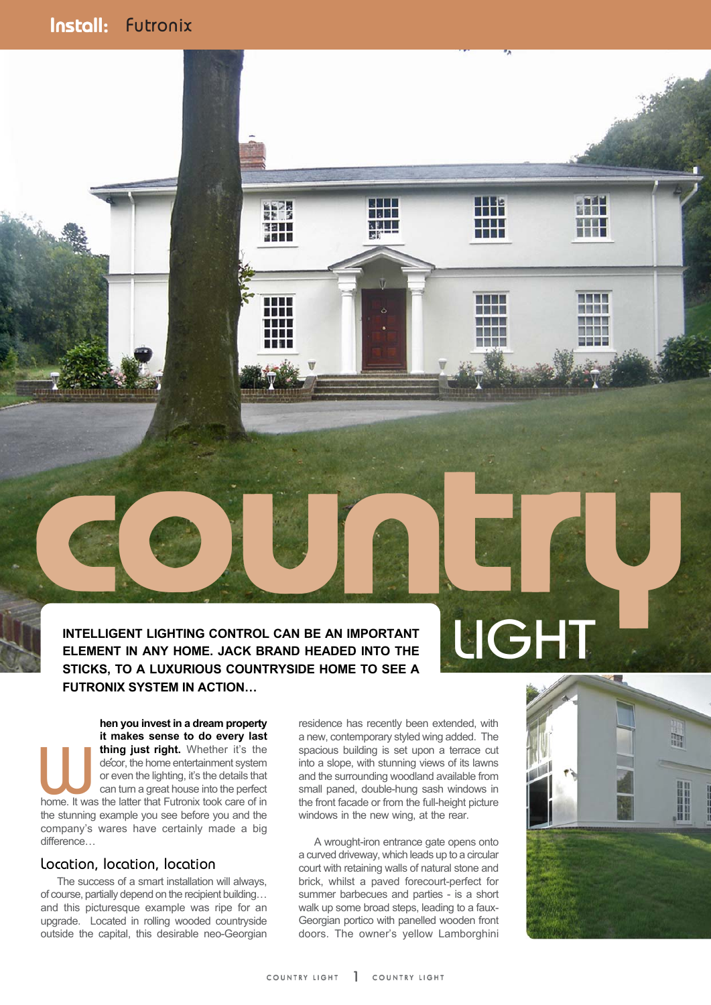# Install: Install: Install: Futronix

EXEMENT IN ANY HOME JACK BRAND HEADED INTO THE NATURE CONTROL CAN BE AN IMPORTANT **INTELLIGENT LIGHTING CONTROL CAN BE AN IMPORTANT ELEMENT IN ANY HOME. JACK BRAND HEADED INTO THE STICKS, TO A LUXURIOUS COUNTRYSIDE HOME TO SEE A FUTRONIX SYSTEM IN ACTION…**

W.

动摇圆圆

n di Bibli

m

**hen you invest in a dream property it makes sense to do every last** thing just right. Whether it's the decor, the home entertainment system or even the lighting, it's the details that can turn a great house into the perfect home. It was the latter that Futronix took care of in **the studies of the stunning instruments of the studies of the studies of the studies of the stunning instruments of the stunning example you see before you and the perfect bone. It was the latter that Futronix took care o** company's wares have certainly made a big difference…

#### Location, location, location

 The success of a smart installation will always, of course, partially depend on the recipient building… and this picturesque example was ripe for an upgrade. Located in rolling wooded countryside outside the capital, this desirable neo-Georgian residence has recently been extended, with a new, contemporary styled wing added. The spacious building is set upon a terrace cut into a slope, with stunning views of its lawns and the surrounding woodland available from small paned, double-hung sash windows in the front facade or from the full-height picture windows in the new wing, at the rear.

 A wrought-iron entrance gate opens onto a curved driveway, which leads up to a circular court with retaining walls of natural stone and brick, whilst a paved forecourt-perfect for summer barbecues and parties - is a short walk up some broad steps, leading to a faux-Georgian portico with panelled wooden front doors. The owner's yellow Lamborghini



**TEM** 

**Birthda** 

**METAL** 

n in F

a ma

79 S

TTT

HН

n m

■別局局

ीना

SE LI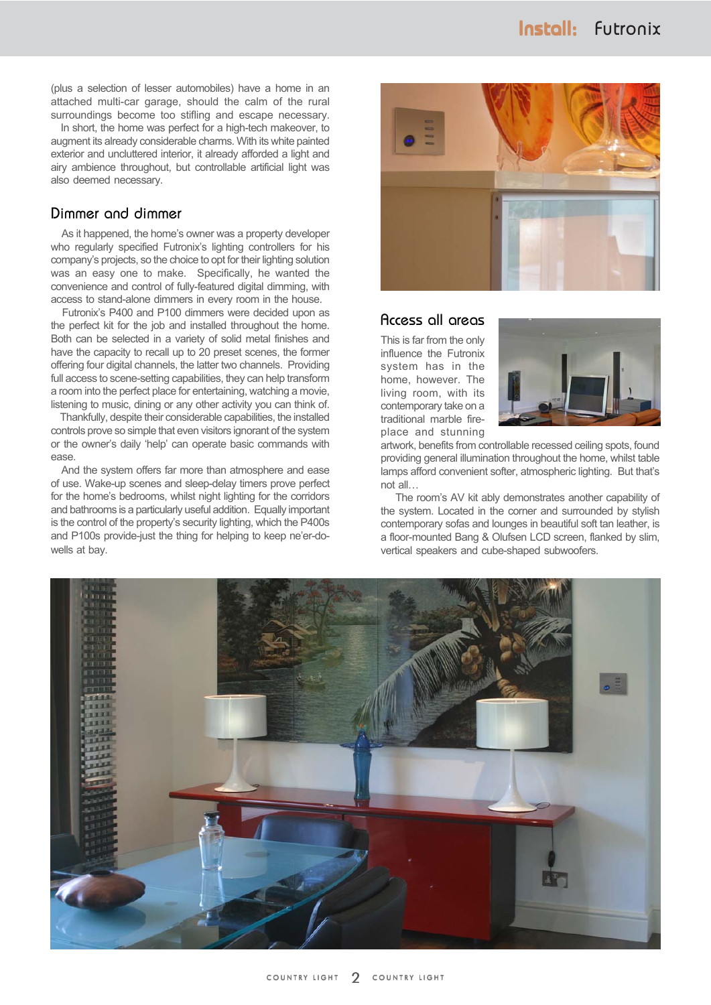(plus a selection of lesser automobiles) have a home in an attached multi-car garage, should the calm of the rural surroundings become too stifling and escape necessary.

 In short, the home was perfect for a high-tech makeover, to augment its already considerable charms. With its white painted exterior and uncluttered interior, it already afforded a light and airy ambience throughout, but controllable artificial light was also deemed necessary.

#### Dimmer and dimmer

 As it happened, the home's owner was a property developer who regularly specified Futronix's lighting controllers for his company's projects, so the choice to opt for their lighting solution was an easy one to make. Specifically, he wanted the convenience and control of fully-featured digital dimming, with access to stand-alone dimmers in every room in the house.

 Futronix's P400 and P100 dimmers were decided upon as the perfect kit for the job and installed throughout the home. Both can be selected in a variety of solid metal finishes and have the capacity to recall up to 20 preset scenes, the former offering four digital channels, the latter two channels. Providing full access to scene-setting capabilities, they can help transform a room into the perfect place for entertaining, watching a movie, listening to music, dining or any other activity you can think of.

 Thankfully, despite their considerable capabilities, the installed controls prove so simple that even visitors ignorant of the system or the owner's daily 'help' can operate basic commands with ease.

 And the system offers far more than atmosphere and ease of use. Wake-up scenes and sleep-delay timers prove perfect for the home's bedrooms, whilst night lighting for the corridors and bathrooms is a particularly useful addition. Equally important is the control of the property's security lighting, which the P400s and P100s provide-just the thing for helping to keep ne'er-dowells at bay.



### Access all areas

This is far from the only influence the Futronix system has in the home, however. The living room, with its contemporary take on a traditional marble fireplace and stunning



artwork, benefits from controllable recessed ceiling spots, found providing general illumination throughout the home, whilst table lamps afford convenient softer, atmospheric lighting. But that's not all…

 The room's AV kit ably demonstrates another capability of the system. Located in the corner and surrounded by stylish contemporary sofas and lounges in beautiful soft tan leather, is a floor-mounted Bang & Olufsen LCD screen, flanked by slim, vertical speakers and cube-shaped subwoofers.